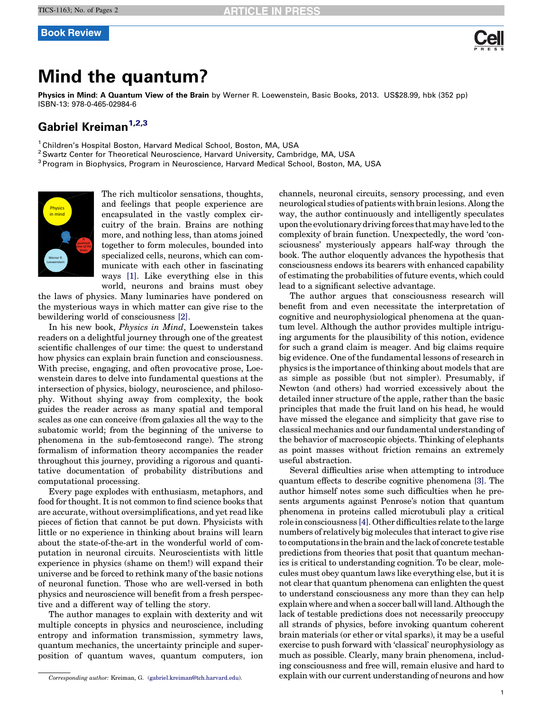

## Mind the quantum?

Physics in Mind: A Quantum View of the Brain by Werner R. Loewenstein, Basic Books, 2013. US\$28.99, hbk (352 pp) ISBN-13: 978-0-465-02984-6

## Gabriel Kreiman<sup>1,2,3</sup>

<sup>1</sup> Children's Hospital Boston, Harvard Medical School, Boston, MA, USA<br><sup>2</sup> Swartz Center for Theoretical Neuroscience, Harvard University, Cambridge, MA, USA<br><sup>3</sup> Program in Biophysics, Program in Neuroscience, Harvard Med



The rich multicolor sensations, thoughts, and feelings that people experience are encapsulated in the vastly complex circuitry of the brain. Brains are nothing more, and nothing less, than atoms joined together to form molecules, bounded into specialized cells, neurons, which can communicate with each other in fascinating ways [\[1\].](#page-1-0) Like everything else in this world, neurons and brains must obey

the laws of physics. Many luminaries have pondered on the mysterious ways in which matter can give rise to the bewildering world of consciousness [\[2\].](#page-1-0)

In his new book, Physics in Mind, Loewenstein takes readers on a delightful journey through one of the greatest scientific challenges of our time: the quest to understand how physics can explain brain function and consciousness. With precise, engaging, and often provocative prose, Loewenstein dares to delve into fundamental questions at the intersection of physics, biology, neuroscience, and philosophy. Without shying away from complexity, the book guides the reader across as many spatial and temporal scales as one can conceive (from galaxies all the way to the subatomic world; from the beginning of the universe to phenomena in the sub-femtosecond range). The strong formalism of information theory accompanies the reader throughout this journey, providing a rigorous and quantitative documentation of probability distributions and computational processing.

Every page explodes with enthusiasm, metaphors, and food for thought. It is not common to find science books that are accurate, without oversimplifications, and yet read like pieces of fiction that cannot be put down. Physicists with little or no experience in thinking about brains will learn about the state-of-the-art in the wonderful world of computation in neuronal circuits. Neuroscientists with little experience in physics (shame on them!) will expand their universe and be forced to rethink many of the basic notions of neuronal function. Those who are well-versed in both physics and neuroscience will benefit from a fresh perspective and a different way of telling the story.

The author manages to explain with dexterity and wit multiple concepts in physics and neuroscience, including entropy and information transmission, symmetry laws, quantum mechanics, the uncertainty principle and superposition of quantum waves, quantum computers, ion channels, neuronal circuits, sensory processing, and even neurological studies of patientswithbrain lesions. Along the way, the author continuously and intelligently speculates uponthe evolutionarydriving forces thatmayhave led to the complexity of brain function. Unexpectedly, the word 'consciousness' mysteriously appears half-way through the book. The author eloquently advances the hypothesis that consciousness endows its bearers with enhanced capability of estimating the probabilities of future events, which could lead to a significant selective advantage.

The author argues that consciousness research will benefit from and even necessitate the interpretation of cognitive and neurophysiological phenomena at the quantum level. Although the author provides multiple intriguing arguments for the plausibility of this notion, evidence for such a grand claim is meager. And big claims require big evidence. One of the fundamental lessons of research in physics is the importance ofthinking about models that are as simple as possible (but not simpler). Presumably, if Newton (and others) had worried excessively about the detailed inner structure of the apple, rather than the basic principles that made the fruit land on his head, he would have missed the elegance and simplicity that gave rise to classical mechanics and our fundamental understanding of the behavior of macroscopic objects. Thinking of elephants as point masses without friction remains an extremely useful abstraction.

Several difficulties arise when attempting to introduce quantum effects to describe cognitive phenomena [\[3\]](#page-1-0). The author himself notes some such difficulties when he presents arguments against Penrose's notion that quantum phenomena in proteins called microtubuli play a critical role in consciousness [\[4\]](#page-1-0). Other difficulties relate to the large numbers of relatively big molecules that interact to give rise to computations inthe brainand the lackof concrete testable predictions from theories that posit that quantum mechanics is critical to understanding cognition. To be clear, molecules must obey quantum laws like everything else, but it is not clear that quantum phenomena can enlighten the quest to understand consciousness any more than they can help explain where and when a soccer ball will land. Although the lack of testable predictions does not necessarily preoccupy all strands of physics, before invoking quantum coherent brain materials (or ether or vital sparks), it may be a useful exercise to push forward with 'classical' neurophysiology as much as possible. Clearly, many brain phenomena, including consciousness and free will, remain elusive and hard to explain with our current understanding of neurons and how

Corresponding author: Kreiman, G. [\(gabriel.kreiman@tch.harvard.edu\)](mailto:gabriel.kreiman@tch.harvard.edu).